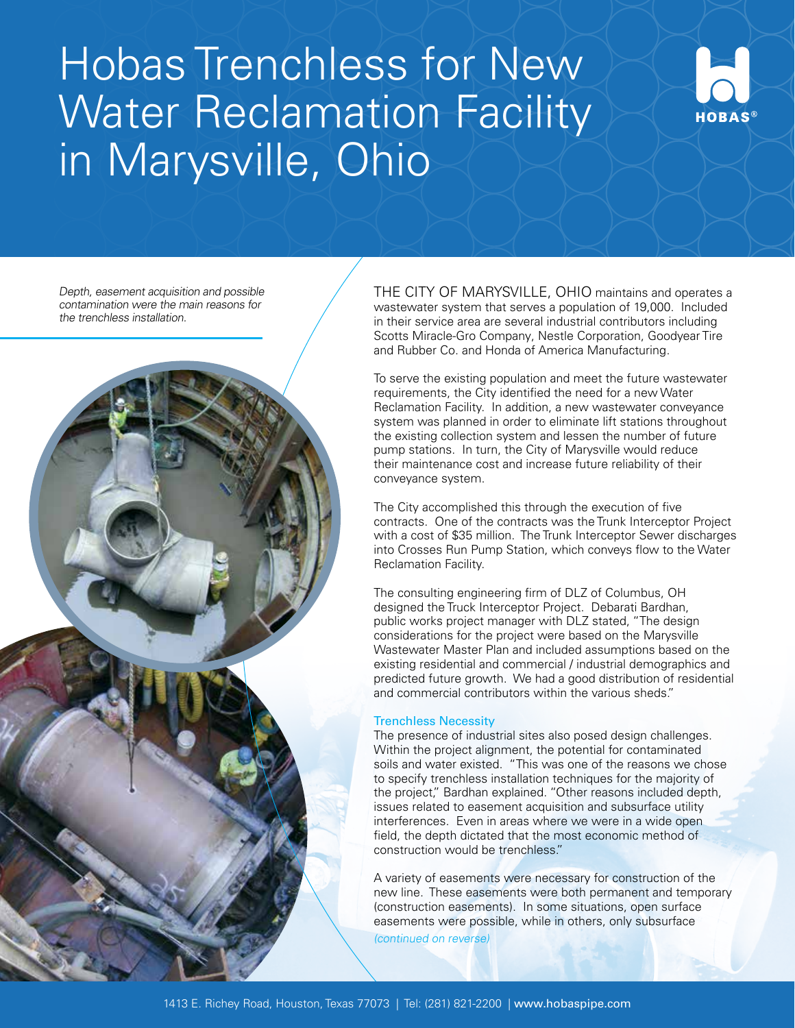# Hobas Trenchless for New Water Reclamation Facility in Marysville, Ohio



Depth, easement acquisition and possible contamination were the main reasons for the trenchless installation.



THE CITY OF MARYSVILLE, OHIO maintains and operates a wastewater system that serves a population of 19,000. Included in their service area are several industrial contributors including Scotts Miracle-Gro Company, Nestle Corporation, Goodyear Tire and Rubber Co. and Honda of America Manufacturing.

To serve the existing population and meet the future wastewater requirements, the City identified the need for a new Water Reclamation Facility. In addition, a new wastewater conveyance system was planned in order to eliminate lift stations throughout the existing collection system and lessen the number of future pump stations. In turn, the City of Marysville would reduce their maintenance cost and increase future reliability of their conveyance system.

The City accomplished this through the execution of five contracts. One of the contracts was the Trunk Interceptor Project with a cost of \$35 million. The Trunk Interceptor Sewer discharges into Crosses Run Pump Station, which conveys flow to the Water Reclamation Facility.

The consulting engineering firm of DLZ of Columbus, OH designed the Truck Interceptor Project. Debarati Bardhan, public works project manager with DLZ stated, "The design considerations for the project were based on the Marysville Wastewater Master Plan and included assumptions based on the existing residential and commercial / industrial demographics and predicted future growth. We had a good distribution of residential and commercial contributors within the various sheds."

## Trenchless Necessity

The presence of industrial sites also posed design challenges. Within the project alignment, the potential for contaminated soils and water existed. "This was one of the reasons we chose to specify trenchless installation techniques for the majority of the project," Bardhan explained. "Other reasons included depth, issues related to easement acquisition and subsurface utility interferences. Even in areas where we were in a wide open field, the depth dictated that the most economic method of construction would be trenchless."

A variety of easements were necessary for construction of the new line. These easements were both permanent and temporary (construction easements). In some situations, open surface easements were possible, while in others, only subsurface (continued on reverse)